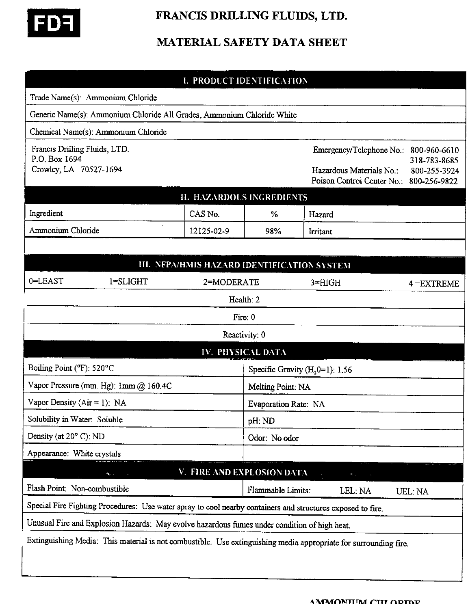

# FRANCIS DRILLING FLUIDS, LTD.

# MATERIAL SAFETY DATA SHEET

|                                                                                                                  |                                     | <b>I. PRODUCT IDENTIFICATION</b> |                                   |                                                                                                             |                                              |  |  |
|------------------------------------------------------------------------------------------------------------------|-------------------------------------|----------------------------------|-----------------------------------|-------------------------------------------------------------------------------------------------------------|----------------------------------------------|--|--|
|                                                                                                                  | Trade Name(s): Ammonium Chloride    |                                  |                                   |                                                                                                             |                                              |  |  |
| Generic Name(s): Ammonium Chloride All Grades, Ammonium Chloride White                                           |                                     |                                  |                                   |                                                                                                             |                                              |  |  |
|                                                                                                                  | Chemical Name(s): Ammonium Chloride |                                  |                                   |                                                                                                             |                                              |  |  |
| Francis Drilling Fluids, LTD.<br>P.O. Box 1694<br>Crowley, LA 70527-1694                                         |                                     |                                  |                                   | Emergency/Telephone No.:<br>Hazardous Materials No.:<br>Poison Control Center No.: 800-256-9822             | 800-960-6610<br>318-783-8685<br>800-255-3924 |  |  |
| <b>II. HAZARDOUS INGREDIENTS</b>                                                                                 |                                     |                                  |                                   |                                                                                                             |                                              |  |  |
| Ingredient                                                                                                       |                                     | CAS No.                          | $\%$                              | Hazard                                                                                                      |                                              |  |  |
| $\sim$<br>Ammonium Chloride                                                                                      |                                     | 12125-02-9                       | 98%                               | Irritant                                                                                                    |                                              |  |  |
|                                                                                                                  |                                     |                                  |                                   |                                                                                                             |                                              |  |  |
| <b>III. NEPA/HMIS HAZARD IDENTIFICATION SYSTEM</b>                                                               |                                     |                                  |                                   |                                                                                                             |                                              |  |  |
| 0=LEAST                                                                                                          | 1=SLIGHT<br>2=MODERATE              |                                  |                                   | $3 = HIGH$                                                                                                  | $4 = EXTREME$                                |  |  |
| Health: 2                                                                                                        |                                     |                                  |                                   |                                                                                                             |                                              |  |  |
| Fire: 0                                                                                                          |                                     |                                  |                                   |                                                                                                             |                                              |  |  |
| Reactivity: 0                                                                                                    |                                     |                                  |                                   |                                                                                                             |                                              |  |  |
| <b>IV. PHYSICAL DATA</b>                                                                                         |                                     |                                  |                                   |                                                                                                             |                                              |  |  |
| Boiling Point (°F): 520°C                                                                                        |                                     |                                  | Specific Gravity $(H20=1)$ : 1.56 |                                                                                                             |                                              |  |  |
| Vapor Pressure (mm. Hg): 1mm @ 160.4C                                                                            |                                     |                                  | Melting Point: NA                 |                                                                                                             |                                              |  |  |
| Vapor Density ( $Air = 1$ ): NA                                                                                  |                                     |                                  | Evaporation Rate: NA              |                                                                                                             |                                              |  |  |
| Solubility in Water: Soluble                                                                                     |                                     |                                  | pH: ND                            |                                                                                                             |                                              |  |  |
| Density (at $20^{\circ}$ C): ND                                                                                  |                                     |                                  | Odor: No odor                     |                                                                                                             |                                              |  |  |
| Appearance: White crystals                                                                                       |                                     |                                  |                                   |                                                                                                             |                                              |  |  |
| V. FIRE AND EXPLOSION DATA<br>$\mathcal{L}$<br>$\sim$                                                            |                                     |                                  |                                   |                                                                                                             |                                              |  |  |
| Flash Point: Non-combustible                                                                                     |                                     |                                  | Flammable Limits:                 | LEL: NA                                                                                                     | UEL: NA                                      |  |  |
|                                                                                                                  |                                     |                                  |                                   | Special Fire Fighting Procedures: Use water spray to cool nearby containers and structures exposed to fire. |                                              |  |  |
| Unusual Fire and Explosion Hazards: May evolve hazardous fumes under condition of high heat.                     |                                     |                                  |                                   |                                                                                                             |                                              |  |  |
| Extinguishing Media: This material is not combustible. Use extinguishing media appropriate for surrounding fire. |                                     |                                  |                                   |                                                                                                             |                                              |  |  |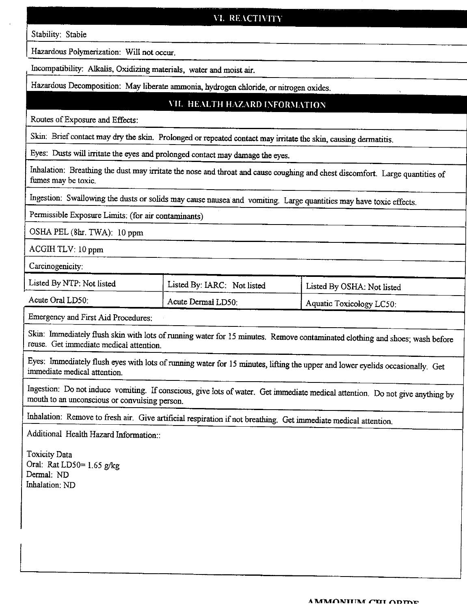# VI. REACTIVITY

Stability: Stable

Hazardous Polymerization: Will not occur.

Incompatibility: Alkalis, Oxidizing materials, water and moist air.

Hazardous Decomposition: May liberate ammonia, hydrogen chloride, or nitrogen oxides.

#### VII. HEALTH HAZARD INFORMATION

Routes of Exposure and Effects:

Skin: Brief contact may dry the skin. Prolonged or repeated contact may irritate the skin, causing dermatitis.

Eyes: Dusts will irritate the eyes and prolonged contact may damage the eyes.

Inhalation: Breathing the dust may irritate the nose and throat and cause coughing and chest discomfort. Large quantities of fumes may be toxic.

lngestion: Swallowing the dusts or solids may cause nausea and vomiting. Large quantities may have toxic effects.

Permissible Exposure Limits: (for air contaminants)

OSHA PEL (8hr. TWA): 10 ppm

ACGIHTLV: 10 ppm

Carcinogenicity:

| Listed By NTP: Not listed | Listed By: IARC: Not listed | Listed By OSHA: Not listed |
|---------------------------|-----------------------------|----------------------------|
| Acute Oral LD50:          | Acute Dermal LD50:          | Aquatic Toxicology LC50:   |

Emergency and First Aid Procedures:

Skin: Immediately flush skin with lots of running water for 15 minutes. Remove contaminated clothing and shoes; wash before reuse. Get immediate medical attention.

Eyes: Immediately flush eyes with lots of running water for 15 minutes, lifting the upper and lower eyelids occasionally. Get immediate medical attention

Ingestion: Do not induce vomiting. If conscious, give lots of water. Get immediate medical attention. Do not give anything by mouth to an unconscious or convulsing person.

Inhalation: Remove to fresh air. Give artificial respiration if not breathing. Get immediate medical attention.

Additional Health Hazard Information::

Toxicity Data Oral: Rat LD50= $1.65$  g/kg Dermal: ND Inhalation: ND

A MMONITIM CUI ODIDE